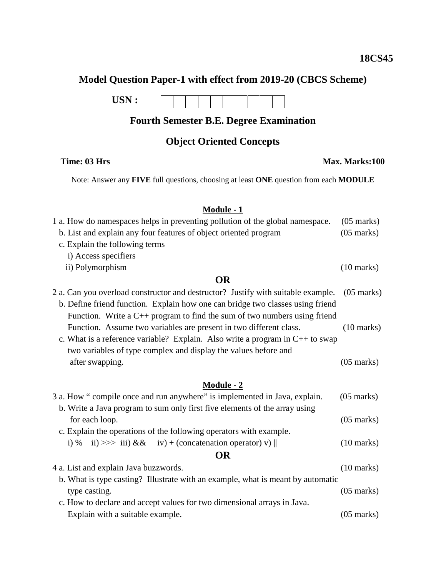# **Model Question Paper-1 with effect from 2019-20 (CBCS Scheme)**

**USN :**

## **Fourth Semester B.E. Degree Examination**

#### **Object Oriented Concepts**

Note: Answer any **FIVE** full questions, choosing at least **ONE** question from each **MODULE**

## **Module - 1**

| 1 a. How do namespaces helps in preventing pollution of the global namespace.    | $(05$ marks)         |  |
|----------------------------------------------------------------------------------|----------------------|--|
| b. List and explain any four features of object oriented program                 | $(05 \text{ marks})$ |  |
| c. Explain the following terms                                                   |                      |  |
| i) Access specifiers                                                             |                      |  |
| ii) Polymorphism                                                                 | $(10 \text{ marks})$ |  |
| <b>OR</b>                                                                        |                      |  |
| 2 a. Can you overload constructor and destructor? Justify with suitable example. | $(05 \text{ marks})$ |  |
| b. Define friend function. Explain how one can bridge two classes using friend   |                      |  |
| Function. Write a $C_{++}$ program to find the sum of two numbers using friend   |                      |  |
| Function. Assume two variables are present in two different class.               | $(10 \text{ marks})$ |  |
| c. What is a reference variable? Explain. Also write a program in $C++$ to swap  |                      |  |
| two variables of type complex and display the values before and                  |                      |  |
| after swapping.                                                                  | $(05 \text{ marks})$ |  |
|                                                                                  |                      |  |
| <b>Module - 2</b>                                                                |                      |  |
| 3 a. How "compile once and run anywhere" is implemented in Java, explain.        | $(05 \text{ marks})$ |  |
| b. Write a Java program to sum only first five elements of the array using       |                      |  |
| for each loop.                                                                   | $(05 \text{ marks})$ |  |
| c. Explain the operations of the following operators with example.               |                      |  |
| ii) >>> iii) && iv) + (concatenation operator) v)   <br>$i) \%$                  | $(10 \text{ marks})$ |  |
| $\mathbf{\Omega}$                                                                |                      |  |

#### **OR**

| 4 a. List and explain Java buzzwords.                                           | $(10 \text{ marks})$ |
|---------------------------------------------------------------------------------|----------------------|
| b. What is type casting? Illustrate with an example, what is meant by automatic |                      |
| type casting.                                                                   | $(05 \text{ marks})$ |
| c. How to declare and accept values for two dimensional arrays in Java.         |                      |
| Explain with a suitable example.                                                | $(05 \text{ marks})$ |

#### **Time: 03 Hrs Max. Marks:100**